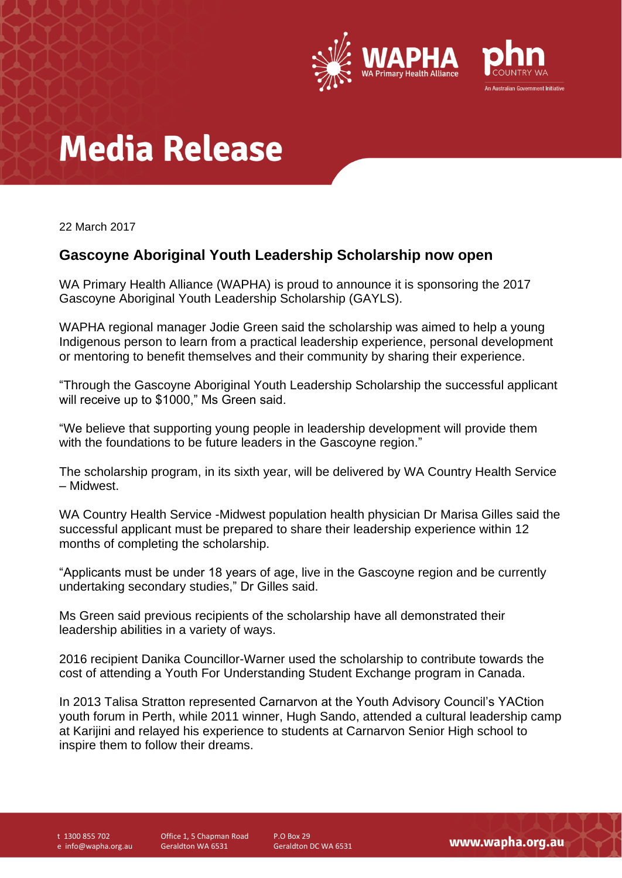

# **Media Release**

22 March 2017

### **Gascoyne Aboriginal Youth Leadership Scholarship now open**

WA Primary Health Alliance (WAPHA) is proud to announce it is sponsoring the 2017 Gascoyne Aboriginal Youth Leadership Scholarship (GAYLS).

WAPHA regional manager Jodie Green said the scholarship was aimed to help a young Indigenous person to learn from a practical leadership experience, personal development or mentoring to benefit themselves and their community by sharing their experience.

"Through the Gascoyne Aboriginal Youth Leadership Scholarship the successful applicant will receive up to \$1000," Ms Green said.

"We believe that supporting young people in leadership development will provide them with the foundations to be future leaders in the Gascoyne region."

The scholarship program, in its sixth year, will be delivered by WA Country Health Service – Midwest.

WA Country Health Service -Midwest population health physician Dr Marisa Gilles said the successful applicant must be prepared to share their leadership experience within 12 months of completing the scholarship.

"Applicants must be under 18 years of age, live in the Gascoyne region and be currently undertaking secondary studies," Dr Gilles said.

Ms Green said previous recipients of the scholarship have all demonstrated their leadership abilities in a variety of ways.

2016 recipient Danika Councillor-Warner used the scholarship to contribute towards the cost of attending a Youth For Understanding Student Exchange program in Canada.

In 2013 Talisa Stratton represented Carnarvon at the Youth Advisory Council's YACtion youth forum in Perth, while 2011 winner, Hugh Sando, attended a cultural leadership camp at Karijini and relayed his experience to students at Carnarvon Senior High school to inspire them to follow their dreams.

t 1300 855 702 e info@wapha.org.au Office 1, 5 Chapman Road Geraldton WA 6531

P.O Box 29 Geraldton DC WA 6531

www.wapha.org.au